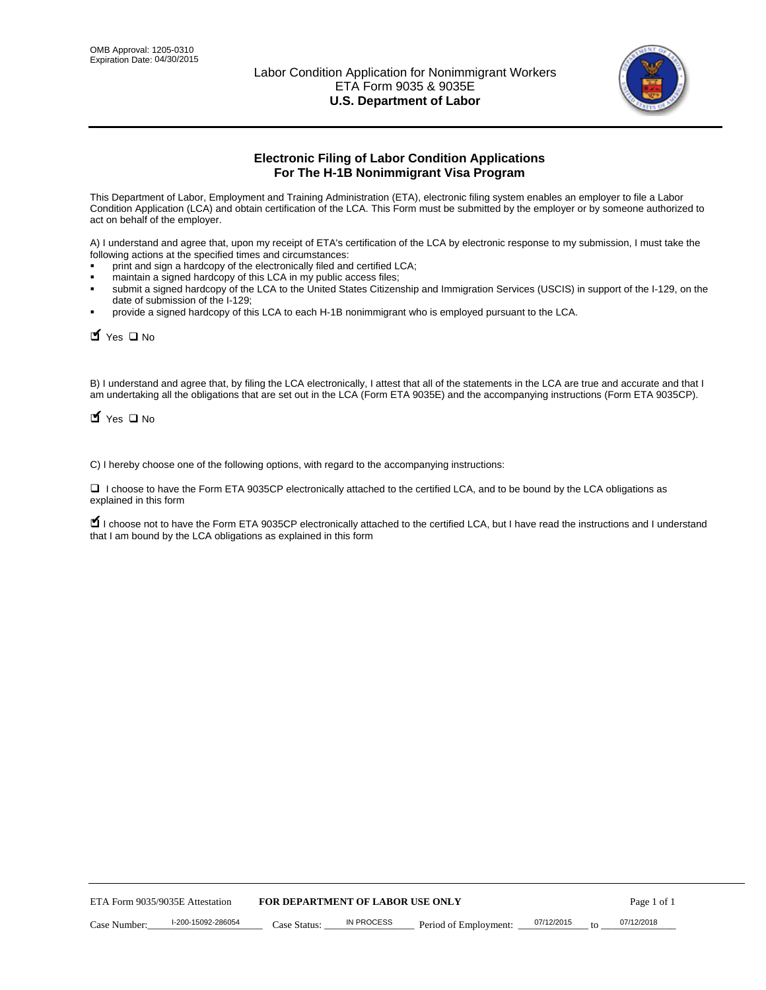

# **Electronic Filing of Labor Condition Applications For The H-1B Nonimmigrant Visa Program**

This Department of Labor, Employment and Training Administration (ETA), electronic filing system enables an employer to file a Labor Condition Application (LCA) and obtain certification of the LCA. This Form must be submitted by the employer or by someone authorized to act on behalf of the employer.

A) I understand and agree that, upon my receipt of ETA's certification of the LCA by electronic response to my submission, I must take the following actions at the specified times and circumstances:

- print and sign a hardcopy of the electronically filed and certified LCA;
- maintain a signed hardcopy of this LCA in my public access files;
- submit a signed hardcopy of the LCA to the United States Citizenship and Immigration Services (USCIS) in support of the I-129, on the date of submission of the I-129;
- provide a signed hardcopy of this LCA to each H-1B nonimmigrant who is employed pursuant to the LCA.

| Yes II No                                                                                      |                    |              |                                  |                                                                                                                                                                                                                                                                                     |            |                  |  |
|------------------------------------------------------------------------------------------------|--------------------|--------------|----------------------------------|-------------------------------------------------------------------------------------------------------------------------------------------------------------------------------------------------------------------------------------------------------------------------------------|------------|------------------|--|
| $\blacksquare$ Yes $\square$ No                                                                |                    |              |                                  | B) I understand and agree that, by filing the LCA electronically, I attest that all of the statements in the LCA are true and accurate and the<br>am undertaking all the obligations that are set out in the LCA (Form ETA 9035E) and the accompanying instructions (Form ETA 9035C |            |                  |  |
| C) I hereby choose one of the following options, with regard to the accompanying instructions: |                    |              |                                  |                                                                                                                                                                                                                                                                                     |            |                  |  |
| explained in this form                                                                         |                    |              |                                  | □ I choose to have the Form ETA 9035CP electronically attached to the certified LCA, and to be bound by the LCA obligations as                                                                                                                                                      |            |                  |  |
| that I am bound by the LCA obligations as explained in this form                               |                    |              |                                  | I choose not to have the Form ETA 9035CP electronically attached to the certified LCA, but I have read the instructions and I unders                                                                                                                                                |            |                  |  |
|                                                                                                |                    |              |                                  |                                                                                                                                                                                                                                                                                     |            |                  |  |
|                                                                                                |                    |              |                                  |                                                                                                                                                                                                                                                                                     |            |                  |  |
|                                                                                                |                    |              |                                  |                                                                                                                                                                                                                                                                                     |            |                  |  |
|                                                                                                |                    |              |                                  |                                                                                                                                                                                                                                                                                     |            |                  |  |
|                                                                                                |                    |              |                                  |                                                                                                                                                                                                                                                                                     |            |                  |  |
|                                                                                                |                    |              |                                  |                                                                                                                                                                                                                                                                                     |            |                  |  |
|                                                                                                |                    |              |                                  |                                                                                                                                                                                                                                                                                     |            |                  |  |
|                                                                                                |                    |              |                                  |                                                                                                                                                                                                                                                                                     |            |                  |  |
|                                                                                                |                    |              |                                  |                                                                                                                                                                                                                                                                                     |            |                  |  |
|                                                                                                |                    |              |                                  |                                                                                                                                                                                                                                                                                     |            |                  |  |
| ETA Form 9035/9035E Attestation                                                                |                    |              | FOR DEPARTMENT OF LABOR USE ONLY |                                                                                                                                                                                                                                                                                     |            | Page 1 of 1      |  |
| Case Number:                                                                                   | I-200-15092-286054 | Case Status: | <b>IN PROCESS</b>                | Period of Employment:                                                                                                                                                                                                                                                               | 07/12/2015 | 07/12/2018<br>to |  |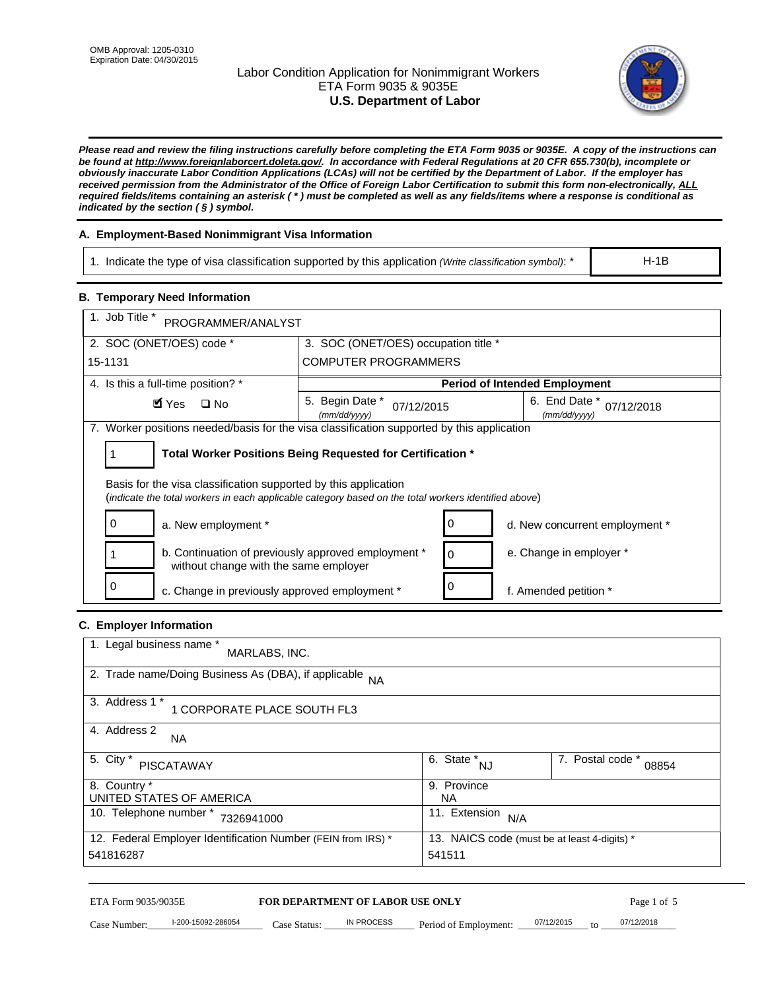# Labor Condition Application for Nonimmigrant Workers ETA Form 9035 & 9035E **U.S. Department of Labor**



*Please read and review the filing instructions carefully before completing the ETA Form 9035 or 9035E. A copy of the instructions can be found at http://www.foreignlaborcert.doleta.gov/. In accordance with Federal Regulations at 20 CFR 655.730(b), incomplete or obviously inaccurate Labor Condition Applications (LCAs) will not be certified by the Department of Labor. If the employer has received permission from the Administrator of the Office of Foreign Labor Certification to submit this form non-electronically, ALL required fields/items containing an asterisk ( \* ) must be completed as well as any fields/items where a response is conditional as indicated by the section ( § ) symbol.* 

# **A. Employment-Based Nonimmigrant Visa Information**

1. Indicate the type of visa classification supported by this application *(Write classification symbol)*: \*

### **B. Temporary Need Information**

| 1. Indicate the type of visa classification supported by this application (Write classification symbol): *                                                              |                                               |                                                 |                               | $H-1B$                         |
|-------------------------------------------------------------------------------------------------------------------------------------------------------------------------|-----------------------------------------------|-------------------------------------------------|-------------------------------|--------------------------------|
| <b>B. Temporary Need Information</b>                                                                                                                                    |                                               |                                                 |                               |                                |
| 1. Job Title *<br>PROGRAMMER/ANALYST                                                                                                                                    |                                               |                                                 |                               |                                |
| 2. SOC (ONET/OES) code *                                                                                                                                                | 3. SOC (ONET/OES) occupation title *          |                                                 |                               |                                |
| 15-1131                                                                                                                                                                 | <b>COMPUTER PROGRAMMERS</b>                   |                                                 |                               |                                |
| 4. Is this a full-time position? *                                                                                                                                      |                                               | <b>Period of Intended Employment</b>            |                               |                                |
| $\blacksquare$ Yes<br>$\square$ No                                                                                                                                      | 5. Begin Date *<br>07/12/2015<br>(mm/dd/yyyy) |                                                 | 6. End Date *<br>(mm/dd/yyyy) | 07/12/2018                     |
| 7. Worker positions needed/basis for the visa classification supported by this application                                                                              |                                               |                                                 |                               |                                |
| Total Worker Positions Being Requested for Certification *<br>1                                                                                                         |                                               |                                                 |                               |                                |
| Basis for the visa classification supported by this application<br>(indicate the total workers in each applicable category based on the total workers identified above) |                                               |                                                 |                               |                                |
| 0<br>a. New employment *                                                                                                                                                |                                               | 0                                               |                               | d. New concurrent employment * |
| b. Continuation of previously approved employment *<br>without change with the same employer                                                                            |                                               | 0                                               | e. Change in employer *       |                                |
| 0<br>c. Change in previously approved employment *                                                                                                                      |                                               | 0                                               | f. Amended petition *         |                                |
| C. Employer Information                                                                                                                                                 |                                               |                                                 |                               |                                |
| 1. Legal business name *<br>MARLABS, INC.                                                                                                                               |                                               |                                                 |                               |                                |
| 2. Trade name/Doing Business As (DBA), if applicable NA                                                                                                                 |                                               |                                                 |                               |                                |
| 3. Address 1 *<br>1 CORPORATE PLACE SOUTH FL3                                                                                                                           |                                               |                                                 |                               |                                |
| 4. Address 2<br>NA.                                                                                                                                                     |                                               |                                                 |                               |                                |
| 5. City $*$<br><b>PISCATAWAY</b>                                                                                                                                        |                                               | $\overline{6. \quad \text{State}}^*_{\quad NJ}$ |                               | 7. Postal code *<br>08854      |
| 8. Country *<br>UNITED STATES OF AMERICA                                                                                                                                |                                               | 9. Province<br><b>NA</b>                        |                               |                                |
| 10. Telephone number * 7326941000                                                                                                                                       |                                               | 11. Extension $N/A$                             |                               |                                |
| 12. Federal Employer Identification Number (FEIN from IRS) *<br>13. NAICS code (must be at least 4-digits) *<br>541816287<br>541511                                     |                                               |                                                 |                               |                                |
| ETA Form 9035/9035E                                                                                                                                                     | FOR DEPARTMENT OF LABOR USE ONLY              |                                                 |                               | Page 1 of 5                    |
| I-200-15092-286054<br>Case Number:<br>$Case$ Statue                                                                                                                     | IN PROCESS                                    | Period of Employment:                           | 07/12/2015                    | 07/12/2018                     |

# **C. Employer Information**

| 1. Legal business name *<br>MARLABS, INC.                    |                                              |                           |
|--------------------------------------------------------------|----------------------------------------------|---------------------------|
| 2. Trade name/Doing Business As (DBA), if applicable NA      |                                              |                           |
| 3. Address 1 *<br>1 CORPORATE PLACE SOUTH FL3                |                                              |                           |
| 4. Address 2<br><b>NA</b>                                    |                                              |                           |
| 5. City *<br><b>PISCATAWAY</b>                               | 6. State *<br><b>NJ</b>                      | 7. Postal code *<br>08854 |
| 8. Country *                                                 | 9. Province                                  |                           |
| UNITED STATES OF AMERICA                                     | NA                                           |                           |
| 10. Telephone number *<br>7326941000                         | 11. Extension<br>N/A                         |                           |
| 12. Federal Employer Identification Number (FEIN from IRS) * | 13. NAICS code (must be at least 4-digits) * |                           |
| 541816287                                                    | 541511                                       |                           |

# ETA Form 9035/9035E **FOR DEPARTMENT OF LABOR USE ONLY** Page 1 of 5<br>Case Number: 1-200-15092-286054 Case Status: IN PROCESS Period of Employment: 07/12/2015 to 07/12/2018

Case Number:  $\frac{1-200-15092-286054}{200-15092-286054}$  Case Status:  $\frac{1}{2}$  N PROCESS Period of Employment:  $\frac{07/12/2015}{20/12}$  to  $\frac{0.07/12/2018}{20/12}$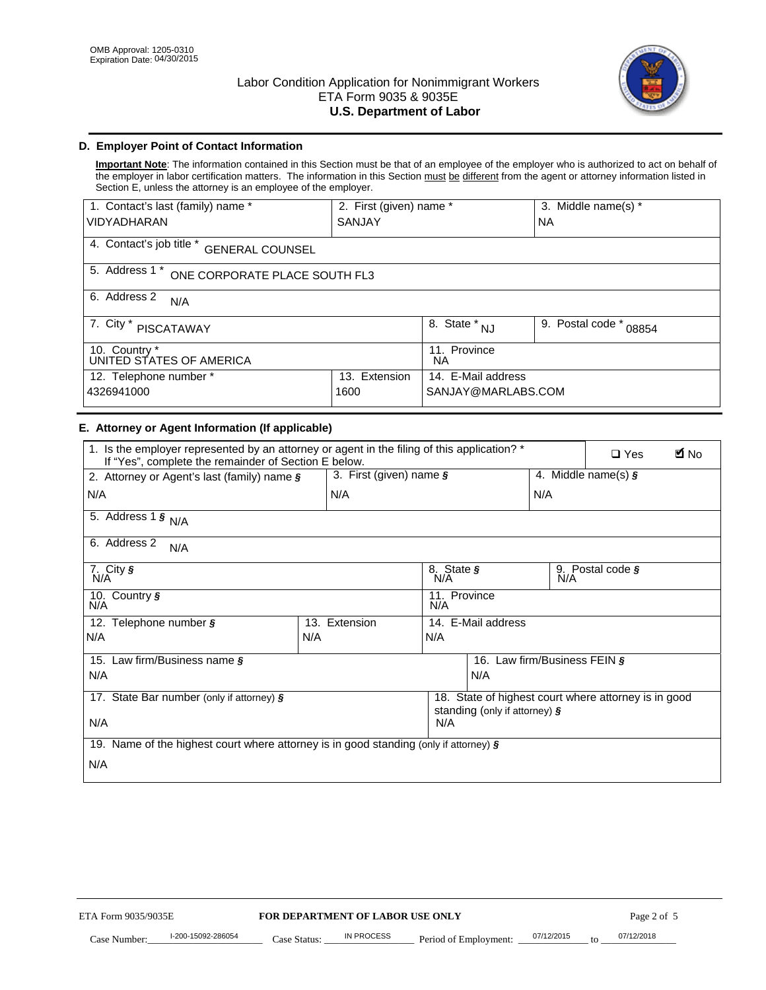

# **D. Employer Point of Contact Information**

**Important Note**: The information contained in this Section must be that of an employee of the employer who is authorized to act on behalf of the employer in labor certification matters. The information in this Section must be different from the agent or attorney information listed in Section E, unless the attorney is an employee of the employer.

| 1. Contact's last (family) name *                  | 2. First (given) name * |                                  | 3. Middle name(s) *       |  |
|----------------------------------------------------|-------------------------|----------------------------------|---------------------------|--|
| <b>VIDYADHARAN</b>                                 | <b>SANJAY</b>           |                                  | <b>NA</b>                 |  |
| 4. Contact's job title *<br><b>GENERAL COUNSEL</b> |                         |                                  |                           |  |
| 5. Address 1 *<br>ONE CORPORATE PLACE SOUTH FL3    |                         |                                  |                           |  |
| 6. Address 2<br>N/A                                |                         |                                  |                           |  |
| 7. City $*$<br><b>PISCATAWAY</b>                   |                         | $\overline{8}$ . State $*$<br>NJ | 9. Postal code *<br>08854 |  |
| 10. Country *<br>UNITED STATES OF AMERICA          |                         | 11. Province<br>ΝA               |                           |  |
| Extension<br>12. Telephone number *<br>13.         |                         | 14. E-Mail address               |                           |  |
| 4326941000<br>1600                                 |                         | SANJAY@MARLABS.COM               |                           |  |

# **E. Attorney or Agent Information (If applicable)**

| VIDYADHARAN                                                                                                                                         | SANJAY                           |                                       |                                          | <b>NA</b>        |                                                      |             |
|-----------------------------------------------------------------------------------------------------------------------------------------------------|----------------------------------|---------------------------------------|------------------------------------------|------------------|------------------------------------------------------|-------------|
| 4. Contact's job title * GENERAL COUNSEL                                                                                                            |                                  |                                       |                                          |                  |                                                      |             |
| 5. Address 1 * ONE CORPORATE PLACE SOUTH FL3                                                                                                        |                                  |                                       |                                          |                  |                                                      |             |
| 6. Address 2<br>N/A                                                                                                                                 |                                  |                                       |                                          |                  |                                                      |             |
| 7. City * PISCATAWAY                                                                                                                                |                                  |                                       | 8. State $*_{NJ}$                        | 9. Postal code * | 08854                                                |             |
| 10. Country *<br>UNITED STATES OF AMERICA                                                                                                           |                                  | 11. Province<br><b>NA</b>             |                                          |                  |                                                      |             |
| 12. Telephone number *<br>4326941000                                                                                                                | 13. Extension<br>1600            |                                       | 14. E-Mail address<br>SANJAY@MARLABS.COM |                  |                                                      |             |
| E. Attorney or Agent Information (If applicable)                                                                                                    |                                  |                                       |                                          |                  |                                                      |             |
| 1. Is the employer represented by an attorney or agent in the filing of this application? *<br>If "Yes", complete the remainder of Section E below. |                                  |                                       |                                          |                  | $\Box$ Yes                                           | <b>A</b> No |
| 2. Attorney or Agent's last (family) name §                                                                                                         | 3. First (given) name §          |                                       |                                          |                  | 4. Middle name(s) $\sqrt{s}$                         |             |
| N/A                                                                                                                                                 | N/A                              |                                       |                                          | N/A              |                                                      |             |
| 5. Address 1 $\frac{1}{9}$ N/A                                                                                                                      |                                  |                                       |                                          |                  |                                                      |             |
| 6. Address 2<br>N/A                                                                                                                                 |                                  |                                       |                                          |                  |                                                      |             |
| 7. City §<br>N/A                                                                                                                                    |                                  | 8. State §<br>N/A<br>9. Postal code § |                                          |                  |                                                      |             |
| 10. Country §<br>N/A                                                                                                                                |                                  | 11. Province<br>N/A                   |                                          |                  |                                                      |             |
| 12. Telephone number §<br>N/A                                                                                                                       | 13. Extension<br>N/A             | 14. E-Mail address                    |                                          |                  |                                                      |             |
|                                                                                                                                                     |                                  | N/A                                   |                                          |                  |                                                      |             |
| 15. Law firm/Business name §<br>N/A                                                                                                                 |                                  | 16. Law firm/Business FEIN §<br>N/A   |                                          |                  |                                                      |             |
|                                                                                                                                                     |                                  |                                       |                                          |                  |                                                      |             |
| 17. State Bar number (only if attorney) §                                                                                                           |                                  |                                       | standing (only if attorney) §            |                  | 18. State of highest court where attorney is in good |             |
| N/A                                                                                                                                                 |                                  | N/A                                   |                                          |                  |                                                      |             |
| 19. Name of the highest court where attorney is in good standing (only if attorney) §                                                               |                                  |                                       |                                          |                  |                                                      |             |
| N/A                                                                                                                                                 |                                  |                                       |                                          |                  |                                                      |             |
|                                                                                                                                                     |                                  |                                       |                                          |                  |                                                      |             |
|                                                                                                                                                     |                                  |                                       |                                          |                  |                                                      |             |
|                                                                                                                                                     |                                  |                                       |                                          |                  |                                                      |             |
|                                                                                                                                                     |                                  |                                       |                                          |                  |                                                      |             |
|                                                                                                                                                     |                                  |                                       |                                          |                  |                                                      |             |
|                                                                                                                                                     |                                  |                                       |                                          |                  |                                                      |             |
|                                                                                                                                                     |                                  |                                       |                                          |                  |                                                      |             |
| ETA Form 9035/9035E                                                                                                                                 | FOR DEPARTMENT OF LABOR USE ONLY |                                       |                                          |                  | Page 2 of 5                                          |             |
| I-200-15092-286054                                                                                                                                  | <b>IN PROCESS</b>                |                                       |                                          | 07/12/2015       | 07/12/2018                                           |             |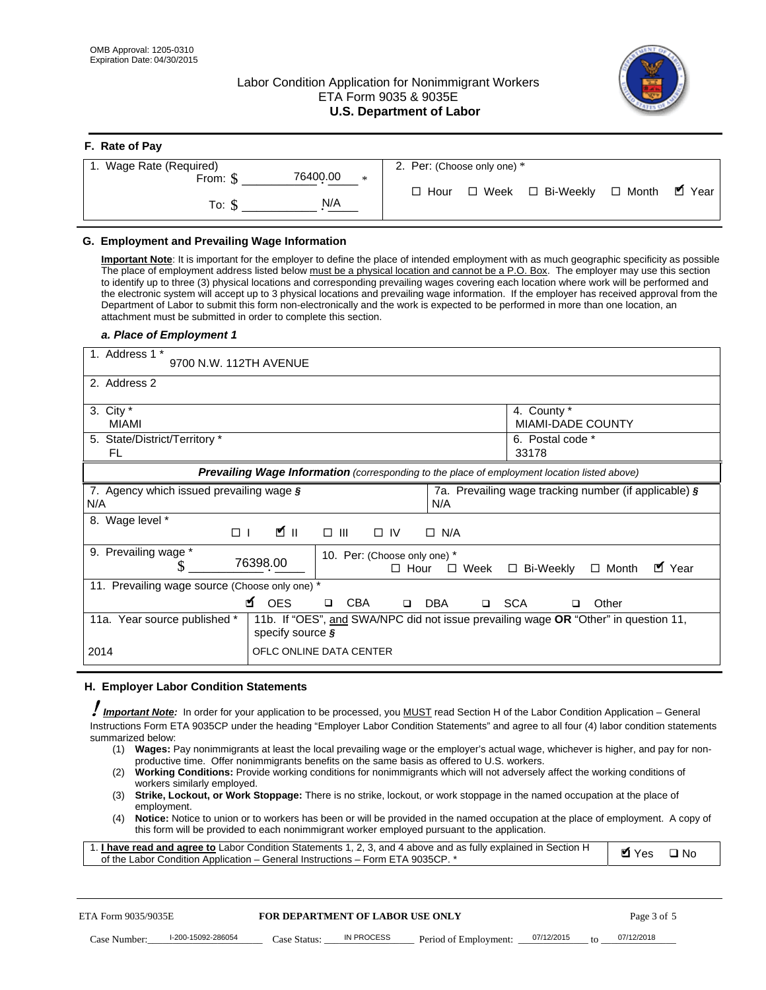# Labor Condition Application for Nonimmigrant Workers ETA Form 9035 & 9035E **U.S. Department of Labor**



| F. Rate of Pay                 |                                           |
|--------------------------------|-------------------------------------------|
| 1. Wage Rate (Required)        | 2. Per: (Choose only one) *               |
| 76400.00<br>From: \$<br>$\ast$ | ■ Year                                    |
| N/A<br>To: S                   | □ Week □ Bi-Weekly □ Month<br>$\Box$ Hour |

## **G. Employment and Prevailing Wage Information**

#### *a. Place of Employment 1*

| From: \$                                                                                                                                                                                                                                                                                                                                                                                                                                                                                                                                                                                                                                                                                                                                                                                                                                                              | 76400.00<br>$\ast$                                                                                                                                                                                                                                                                                                                                                                                                                                                                                                                                                                                                                                                                                                                | $\Box$ Hour                                 | $\Box$ Week           | □ Bi-Weekly                                                          | $\Box$ Month | $\blacksquare$ Year |
|-----------------------------------------------------------------------------------------------------------------------------------------------------------------------------------------------------------------------------------------------------------------------------------------------------------------------------------------------------------------------------------------------------------------------------------------------------------------------------------------------------------------------------------------------------------------------------------------------------------------------------------------------------------------------------------------------------------------------------------------------------------------------------------------------------------------------------------------------------------------------|-----------------------------------------------------------------------------------------------------------------------------------------------------------------------------------------------------------------------------------------------------------------------------------------------------------------------------------------------------------------------------------------------------------------------------------------------------------------------------------------------------------------------------------------------------------------------------------------------------------------------------------------------------------------------------------------------------------------------------------|---------------------------------------------|-----------------------|----------------------------------------------------------------------|--------------|---------------------|
| To: $$$                                                                                                                                                                                                                                                                                                                                                                                                                                                                                                                                                                                                                                                                                                                                                                                                                                                               | N/A                                                                                                                                                                                                                                                                                                                                                                                                                                                                                                                                                                                                                                                                                                                               |                                             |                       |                                                                      |              |                     |
| G. Employment and Prevailing Wage Information<br>Important Note: It is important for the employer to define the place of intended employment with as much geographic specificity as possible<br>The place of employment address listed below must be a physical location and cannot be a P.O. Box. The employer may use this section<br>to identify up to three (3) physical locations and corresponding prevailing wages covering each location where work will be performed and<br>the electronic system will accept up to 3 physical locations and prevailing wage information. If the employer has received approval from the<br>Department of Labor to submit this form non-electronically and the work is expected to be performed in more than one location, an<br>attachment must be submitted in order to complete this section.<br>a. Place of Employment 1 |                                                                                                                                                                                                                                                                                                                                                                                                                                                                                                                                                                                                                                                                                                                                   |                                             |                       |                                                                      |              |                     |
| 1. Address 1 *<br>9700 N.W. 112TH AVENUE                                                                                                                                                                                                                                                                                                                                                                                                                                                                                                                                                                                                                                                                                                                                                                                                                              |                                                                                                                                                                                                                                                                                                                                                                                                                                                                                                                                                                                                                                                                                                                                   |                                             |                       |                                                                      |              |                     |
| 2. Address 2                                                                                                                                                                                                                                                                                                                                                                                                                                                                                                                                                                                                                                                                                                                                                                                                                                                          |                                                                                                                                                                                                                                                                                                                                                                                                                                                                                                                                                                                                                                                                                                                                   |                                             |                       |                                                                      |              |                     |
| 3. City $*$<br>MIAMI<br>5. State/District/Territory *<br>FL                                                                                                                                                                                                                                                                                                                                                                                                                                                                                                                                                                                                                                                                                                                                                                                                           |                                                                                                                                                                                                                                                                                                                                                                                                                                                                                                                                                                                                                                                                                                                                   |                                             |                       | 4. County *<br><b>MIAMI-DADE COUNTY</b><br>6. Postal code *<br>33178 |              |                     |
|                                                                                                                                                                                                                                                                                                                                                                                                                                                                                                                                                                                                                                                                                                                                                                                                                                                                       | Prevailing Wage Information (corresponding to the place of employment location listed above)                                                                                                                                                                                                                                                                                                                                                                                                                                                                                                                                                                                                                                      |                                             |                       |                                                                      |              |                     |
| 7. Agency which issued prevailing wage §<br>N/A                                                                                                                                                                                                                                                                                                                                                                                                                                                                                                                                                                                                                                                                                                                                                                                                                       |                                                                                                                                                                                                                                                                                                                                                                                                                                                                                                                                                                                                                                                                                                                                   | N/A                                         |                       | 7a. Prevailing wage tracking number (if applicable) §                |              |                     |
| 8. Wage level *<br>$\Box$                                                                                                                                                                                                                                                                                                                                                                                                                                                                                                                                                                                                                                                                                                                                                                                                                                             | <b>M</b><br>$\Box$<br>III                                                                                                                                                                                                                                                                                                                                                                                                                                                                                                                                                                                                                                                                                                         | $\Box$ IV<br>$\Box$ N/A                     |                       |                                                                      |              |                     |
| 9. Prevailing wage *<br>\$                                                                                                                                                                                                                                                                                                                                                                                                                                                                                                                                                                                                                                                                                                                                                                                                                                            | 76398.00                                                                                                                                                                                                                                                                                                                                                                                                                                                                                                                                                                                                                                                                                                                          | 10. Per: (Choose only one) *<br>$\Box$ Hour | $\square$ Week        | □ Bi-Weekly                                                          | $\Box$ Month | ■ Year              |
| 11. Prevailing wage source (Choose only one) *                                                                                                                                                                                                                                                                                                                                                                                                                                                                                                                                                                                                                                                                                                                                                                                                                        | <b>¤</b> OES<br><b>CBA</b>                                                                                                                                                                                                                                                                                                                                                                                                                                                                                                                                                                                                                                                                                                        | <b>DBA</b><br>$\Box$                        |                       | □ SCA                                                                | Other        |                     |
| 11a. Year source published *                                                                                                                                                                                                                                                                                                                                                                                                                                                                                                                                                                                                                                                                                                                                                                                                                                          | 11b. If "OES", and SWA/NPC did not issue prevailing wage OR "Other" in question 11,<br>specify source $\boldsymbol{\S}$                                                                                                                                                                                                                                                                                                                                                                                                                                                                                                                                                                                                           |                                             |                       |                                                                      |              |                     |
| 2014                                                                                                                                                                                                                                                                                                                                                                                                                                                                                                                                                                                                                                                                                                                                                                                                                                                                  | OFLC ONLINE DATA CENTER                                                                                                                                                                                                                                                                                                                                                                                                                                                                                                                                                                                                                                                                                                           |                                             |                       |                                                                      |              |                     |
| H. Employer Labor Condition Statements                                                                                                                                                                                                                                                                                                                                                                                                                                                                                                                                                                                                                                                                                                                                                                                                                                |                                                                                                                                                                                                                                                                                                                                                                                                                                                                                                                                                                                                                                                                                                                                   |                                             |                       |                                                                      |              |                     |
| I Important Note: In order for your application to be processed, you MUST read Section H of the Labor Condition Application – General<br>Instructions Form ETA 9035CP under the heading "Employer Labor Condition Statements" and agree to all four (4) labor condition statements<br>summarized below:<br>(2)<br>workers similarly employed.<br>(3)<br>employment.<br>(4)<br>1. I have read and agree to Labor Condition Statements 1, 2, 3, and 4 above and as fully explained in Section H<br>of the Labor Condition Application - General Instructions - Form ETA 9035CP. *                                                                                                                                                                                                                                                                                       | (1) Wages: Pay nonimmigrants at least the local prevailing wage or the employer's actual wage, whichever is higher, and pay for non-<br>productive time. Offer nonimmigrants benefits on the same basis as offered to U.S. workers.<br>Working Conditions: Provide working conditions for nonimmigrants which will not adversely affect the working conditions of<br>Strike, Lockout, or Work Stoppage: There is no strike, lockout, or work stoppage in the named occupation at the place of<br>Notice: Notice to union or to workers has been or will be provided in the named occupation at the place of employment. A copy of<br>this form will be provided to each nonimmigrant worker employed pursuant to the application. |                                             |                       |                                                                      | <b>Ø</b> Yes | $\square$ No        |
| ETA Form 9035/9035E                                                                                                                                                                                                                                                                                                                                                                                                                                                                                                                                                                                                                                                                                                                                                                                                                                                   | <b>FOR DEPARTMENT OF LABOR USE ONLY</b>                                                                                                                                                                                                                                                                                                                                                                                                                                                                                                                                                                                                                                                                                           |                                             |                       |                                                                      | Page 3 of 5  |                     |
| I-200-15092-286054<br>Case Number:                                                                                                                                                                                                                                                                                                                                                                                                                                                                                                                                                                                                                                                                                                                                                                                                                                    | <b>IN PROCESS</b><br>Case Status:                                                                                                                                                                                                                                                                                                                                                                                                                                                                                                                                                                                                                                                                                                 |                                             | Period of Employment: | 07/12/2015                                                           | 07/12/2018   |                     |

#### **H. Employer Labor Condition Statements**

- (1) **Wages:** Pay nonimmigrants at least the local prevailing wage or the employer's actual wage, whichever is higher, and pay for nonproductive time. Offer nonimmigrants benefits on the same basis as offered to U.S. workers.
- (2) **Working Conditions:** Provide working conditions for nonimmigrants which will not adversely affect the working conditions of workers similarly employed.
- (3) **Strike, Lockout, or Work Stoppage:** There is no strike, lockout, or work stoppage in the named occupation at the place of employment.
- (4) **Notice:** Notice to union or to workers has been or will be provided in the named occupation at the place of employment. A copy of this form will be provided to each nonimmigrant worker employed pursuant to the application.

| 1. I have read and agree to Labor Condition Statements 1, 2, 3, and 4 above and as fully explained in Section H | <b>M</b> Yes <b>□</b> No |  |
|-----------------------------------------------------------------------------------------------------------------|--------------------------|--|
| of the Labor Condition Application – General Instructions – Form ETA 9035CP. *                                  |                          |  |

| <b>FOR DEPARTMENT OF LABOR USE ONLY</b><br>ETA Form 9035/9035E |                    |              |            |                       |            | Page 3 of 5 |            |
|----------------------------------------------------------------|--------------------|--------------|------------|-----------------------|------------|-------------|------------|
| Case Number:                                                   | l-200-15092-286054 | Case Status: | IN PROCESS | Period of Employment: | 07/12/2015 | tΩ          | 07/12/2018 |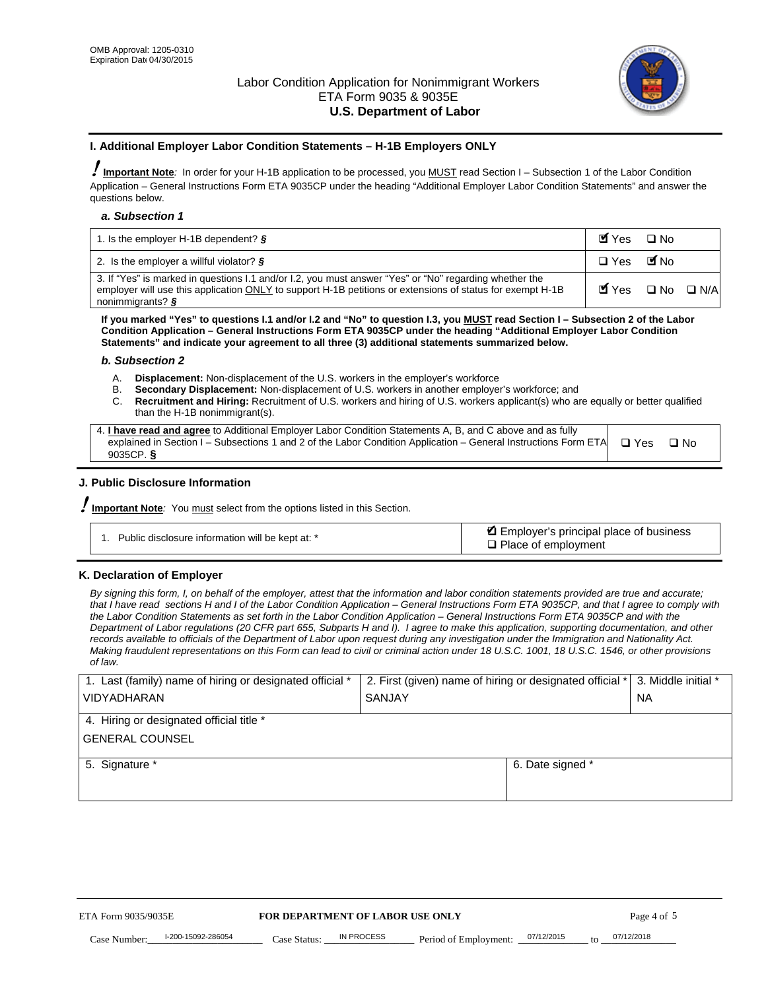

### **I. Additional Employer Labor Condition Statements – H-1B Employers ONLY**

!**Important Note***:* In order for your H-1B application to be processed, you MUST read Section I – Subsection 1 of the Labor Condition Application – General Instructions Form ETA 9035CP under the heading "Additional Employer Labor Condition Statements" and answer the questions below.

#### *a. Subsection 1*

| 1. Is the employer H-1B dependent? $\S$                                                                                                                                                                                                 | Myes □ No                                     |  |
|-----------------------------------------------------------------------------------------------------------------------------------------------------------------------------------------------------------------------------------------|-----------------------------------------------|--|
| 2. Is the employer a willful violator? $\frac{1}{2}$                                                                                                                                                                                    | □ Yes ■No                                     |  |
| 3. If "Yes" is marked in questions I.1 and/or I.2, you must answer "Yes" or "No" regarding whether the<br>employer will use this application ONLY to support H-1B petitions or extensions of status for exempt H-1B<br>nonimmigrants? § | $\blacksquare$ Yes $\square$ No $\square$ N/A |  |

**If you marked "Yes" to questions I.1 and/or I.2 and "No" to question I.3, you MUST read Section I – Subsection 2 of the Labor Condition Application – General Instructions Form ETA 9035CP under the heading "Additional Employer Labor Condition Statements" and indicate your agreement to all three (3) additional statements summarized below.** 

#### *b. Subsection 2*

- A. **Displacement:** Non-displacement of the U.S. workers in the employer's workforce
- B. **Secondary Displacement:** Non-displacement of U.S. workers in another employer's workforce; and
- C. **Recruitment and Hiring:** Recruitment of U.S. workers and hiring of U.S. workers applicant(s) who are equally or better qualified than the H-1B nonimmigrant(s).

| 4. I have read and agree to Additional Employer Labor Condition Statements A, B, and C above and as fully                  |      |
|----------------------------------------------------------------------------------------------------------------------------|------|
| explained in Section I – Subsections 1 and 2 of the Labor Condition Application – General Instructions Form ETA $\Box$ Yes | ∩ Nח |
| 9035CP. $\delta$                                                                                                           |      |

# **J. Public Disclosure Information**

!**Important Note***:* You must select from the options listed in this Section.

| Public disclosure information will be kept at: * | Employer's principal place of business<br>$\Box$ Place of employment |
|--------------------------------------------------|----------------------------------------------------------------------|
|--------------------------------------------------|----------------------------------------------------------------------|

#### **K. Declaration of Employer**

*By signing this form, I, on behalf of the employer, attest that the information and labor condition statements provided are true and accurate;*  that I have read sections H and I of the Labor Condition Application – General Instructions Form ETA 9035CP, and that I agree to comply with *the Labor Condition Statements as set forth in the Labor Condition Application – General Instructions Form ETA 9035CP and with the Department of Labor regulations (20 CFR part 655, Subparts H and I). I agree to make this application, supporting documentation, and other records available to officials of the Department of Labor upon request during any investigation under the Immigration and Nationality Act. Making fraudulent representations on this Form can lead to civil or criminal action under 18 U.S.C. 1001, 18 U.S.C. 1546, or other provisions of law.* 

| 1. Last (family) name of hiring or designated official * | 2. First (given) name of hiring or designated official * |                                       | 3. Middle initial * |
|----------------------------------------------------------|----------------------------------------------------------|---------------------------------------|---------------------|
| <b>VIDYADHARAN</b>                                       | <b>SANJAY</b>                                            |                                       | <b>NA</b>           |
| 4. Hiring or designated official title *                 |                                                          |                                       |                     |
| <b>GENERAL COUNSEL</b>                                   |                                                          |                                       |                     |
| 5. Signature *                                           |                                                          | 6. Date signed *                      |                     |
|                                                          |                                                          |                                       |                     |
|                                                          |                                                          |                                       |                     |
|                                                          |                                                          |                                       |                     |
|                                                          |                                                          |                                       |                     |
| ETA Form 9035/9035E                                      | FOR DEPARTMENT OF LABOR USE ONLY                         |                                       | Page 4 of 5         |
| I-200-15092-286054<br>Case Number<br>Case Status:        | IN PROCESS<br>Period of Employment:                      | 07/12/2015<br>$\mathbf{f} \mathbf{O}$ | 07/12/2018          |